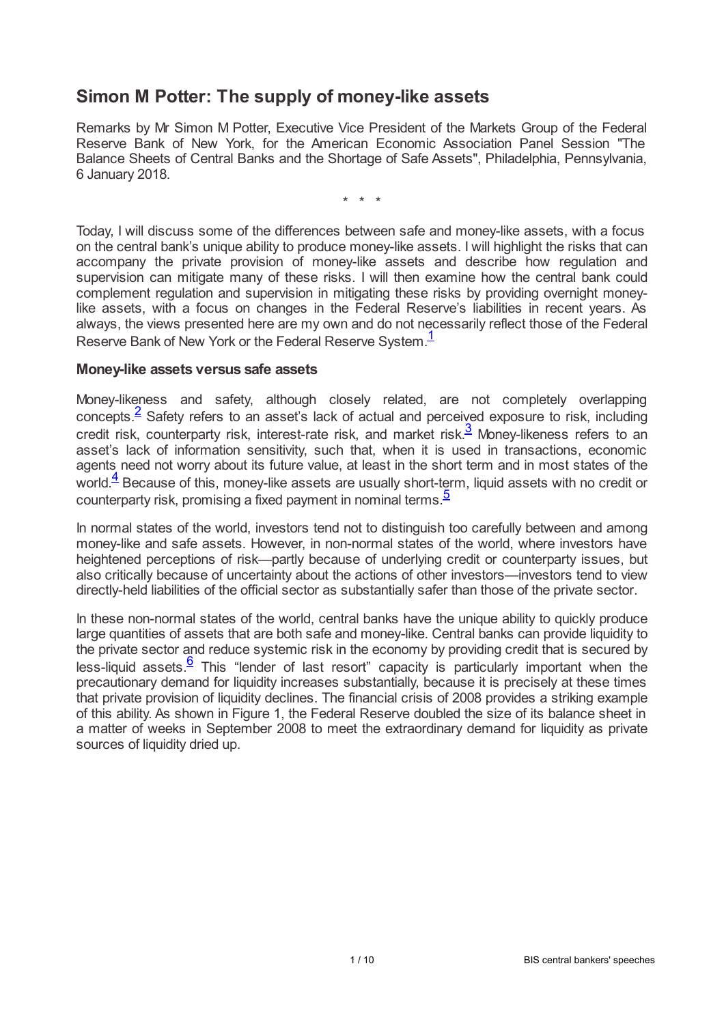### **Simon M Potter: The supply of money-like assets**

Remarks by Mr Simon M Potter, Executive Vice President of the Markets Group of the Federal Reserve Bank of New York, for the American Economic Association Panel Session "The Balance Sheets of Central Banks and the Shortage of Safe Assets", Philadelphia, Pennsylvania, 6 January 2018.

<span id="page-0-4"></span><span id="page-0-2"></span><span id="page-0-0"></span>\* \* \*

Today, I will discuss some of the differences between safe and money-like assets, with a focus on the central bank's unique ability to produce money-like assets. I will highlight the risks that can accompany the private provision of money-like assets and describe how regulation and supervision can mitigate many of these risks. I will then examine how the central bank could complement regulation and supervision in mitigating these risks by providing overnight moneylike assets, with a focus on changes in the Federal Reserve's liabilities in recent years. As always, the views presented here are my own and do not necessarily reflect those of the Federal Reserve Bank of New York or the Federal Reserve System.<sup>[1](#page-7-0)</sup>

#### **Money-like assets versus safe assets**

<span id="page-0-1"></span>Money-likeness and safety, although closely related, are not completely overlapping concepts.<sup>[2](#page-7-1)</sup> Safety refers to an asset's lack of actual and perceived exposure to risk, including credit risk, counterparty risk, interest-rate risk, and market risk. $^3$  $^3$  Money-likeness refers to an asset's lack of information sensitivity, such that, when it is used in transactions, economic agents need not worry about its future value, at least in the short term and in most states of the world. $\frac{4}{3}$  $\frac{4}{3}$  $\frac{4}{3}$  Because of this, money-like assets are usually short-term, liquid assets with no credit or counterparty risk, promising a fixed payment in nominal terms.<sup>[5](#page-7-4)</sup>

<span id="page-0-3"></span>In normal states of the world, investors tend not to distinguish too carefully between and among money-like and safe assets. However, in non-normal states of the world, where investors have heightened perceptions of risk—partly because of underlying credit or counterparty issues, but also critically because of uncertainty about the actions of other investors—investors tend to view directly-held liabilities of the official sector as substantially safer than those of the private sector.

<span id="page-0-5"></span>In these non-normal states of the world, central banks have the unique ability to quickly produce large quantities of assets that are both safe and money-like. Central banks can provide liquidity to the private sector and reduce systemic risk in the economy by providing credit that is secured by less-liquid assets. $\frac{6}{5}$  $\frac{6}{5}$  $\frac{6}{5}$  This "lender of last resort" capacity is particularly important when the precautionary demand for liquidity increases substantially, because it is precisely at these times that private provision of liquidity declines. The financial crisis of 2008 provides a striking example of this ability. As shown in Figure 1, the Federal Reserve doubled the size of its balance sheet in a matter of weeks in September 2008 to meet the extraordinary demand for liquidity as private sources of liquidity dried up.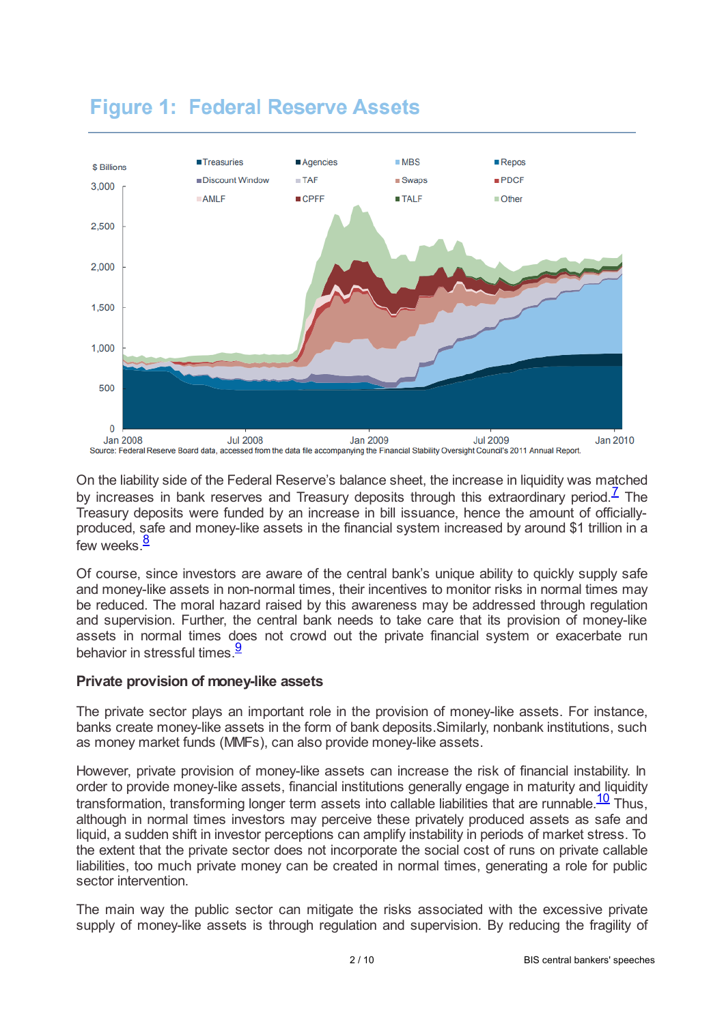

# **Figure 1: Federal Reserve Assets**

<span id="page-1-0"></span>On the liability side of the Federal Reserve's balance sheet, the increase in liquidity was matched by increases in bank reserves and Treasury deposits through this extraordinary period.<sup> $7$ </sup> The Treasury deposits were funded by an increase in bill issuance, hence the amount of officiallyproduced, safe and money-like assets in the financial system increased by around \$1 trillion in a few weeks.<sup>[8](#page-7-7)</sup>

<span id="page-1-1"></span>Of course, since investors are aware of the central bank's unique ability to quickly supply safe and money-like assets in non-normal times, their incentives to monitor risks in normal times may be reduced. The moral hazard raised by this awareness may be addressed through regulation and supervision. Further, the central bank needs to take care that its provision of money-like assets in normal times does not crowd out the private financial system or exacerbate run behavior in stressful times.<sup>[9](#page-7-8)</sup>

### <span id="page-1-2"></span>**Private provision of money-like assets**

The private sector plays an important role in the provision of money-like assets. For instance, banks create money-like assets in the form of bank deposits.Similarly, nonbank institutions, such as money market funds (MMFs), can also provide money-like assets.

<span id="page-1-3"></span>However, private provision of money-like assets can increase the risk of financial instability. In order to provide money-like assets, financial institutions generally engage in maturity and liquidity transformation, transforming longer term assets into callable liabilities that are runnable.<sup>[10](#page-7-9)</sup> Thus, although in normal times investors may perceive these privately produced assets as safe and liquid, a sudden shift in investor perceptions can amplify instability in periods of market stress. To the extent that the private sector does not incorporate the social cost of runs on private callable liabilities, too much private money can be created in normal times, generating a role for public sector intervention.

The main way the public sector can mitigate the risks associated with the excessive private supply of money-like assets is through regulation and supervision. By reducing the fragility of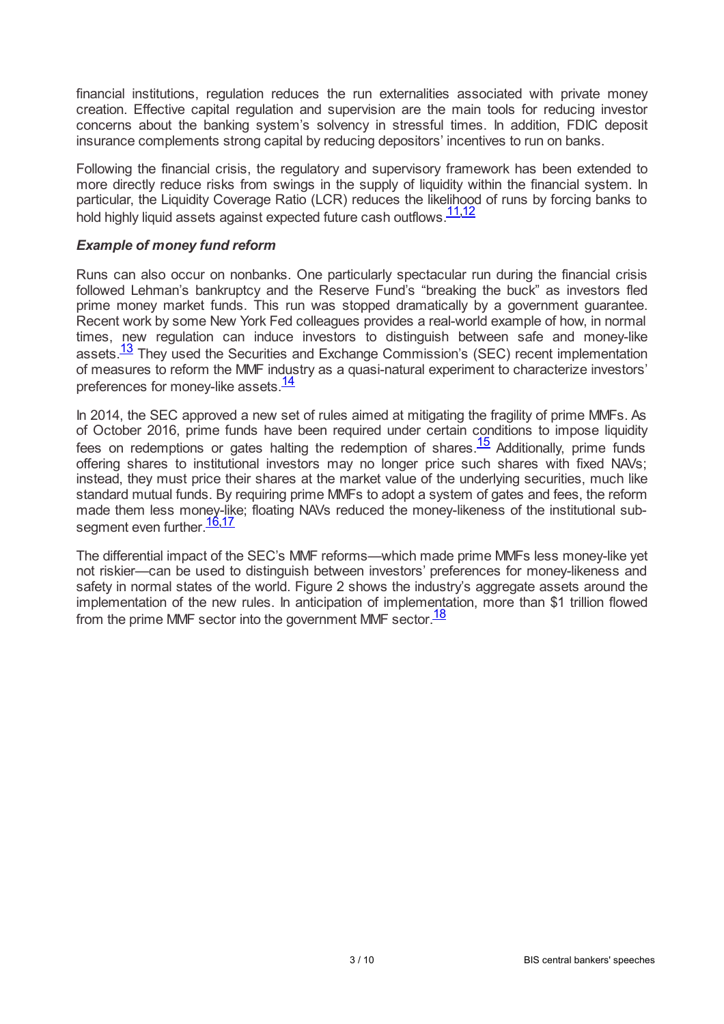financial institutions, regulation reduces the run externalities associated with private money creation. Effective capital regulation and supervision are the main tools for reducing investor concerns about the banking system's solvency in stressful times. In addition, FDIC deposit insurance complements strong capital by reducing depositors' incentives to run on banks.

Following the financial crisis, the regulatory and supervisory framework has been extended to more directly reduce risks from swings in the supply of liquidity within the financial system. In particular, the Liquidity Coverage Ratio (LCR) reduces the likelihood of runs by forcing banks to hold highly liquid assets against expected future cash outflows.<sup>[11](#page-7-10)[,12](#page-7-11)</sup>

#### <span id="page-2-1"></span><span id="page-2-0"></span>*Example of money fund reform*

Runs can also occur on nonbanks. One particularly spectacular run during the financial crisis followed Lehman's bankruptcy and the Reserve Fund's "breaking the buck" as investors fled prime money market funds. This run was stopped dramatically by a government guarantee. Recent work by some New York Fed colleagues provides a real-world example of how, in normal times, new regulation can induce investors to distinguish between safe and money-like assets.<sup>[13](#page-7-12)</sup> They used the Securities and Exchange Commission's (SEC) recent implementation of measures to reform the MMF industry as a quasi-natural experiment to characterize investors' preferences for money-like assets.<sup>[14](#page-7-13)</sup>

<span id="page-2-4"></span><span id="page-2-3"></span><span id="page-2-2"></span>In 2014, the SEC approved a new set of rules aimed at mitigating the fragility of prime MMFs. As of October 2016, prime funds have been required under certain conditions to impose liquidity fees on redemptions or gates halting the redemption of shares. $\frac{15}{15}$  $\frac{15}{15}$  $\frac{15}{15}$  Additionally, prime funds offering shares to institutional investors may no longer price such shares with fixed NAVs; instead, they must price their shares at the market value of the underlying securities, much like standard mutual funds. By requiring prime MMFs to adopt a system of gates and fees, the reform made them less money-like; floating NAVs reduced the money-likeness of the institutional sub-segment even further.<sup>[16](#page-8-1)[,17](#page-8-2)</sup>

<span id="page-2-7"></span><span id="page-2-6"></span><span id="page-2-5"></span>The differential impact of the SEC's MMF reforms—which made prime MMFs less money-like yet not riskier—can be used to distinguish between investors' preferences for money-likeness and safety in normal states of the world. Figure 2 shows the industry's aggregate assets around the implementation of the new rules. In anticipation of implementation, more than \$1 trillion flowed from the prime MMF sector into the government MMF sector  $\frac{18}{18}$  $\frac{18}{18}$  $\frac{18}{18}$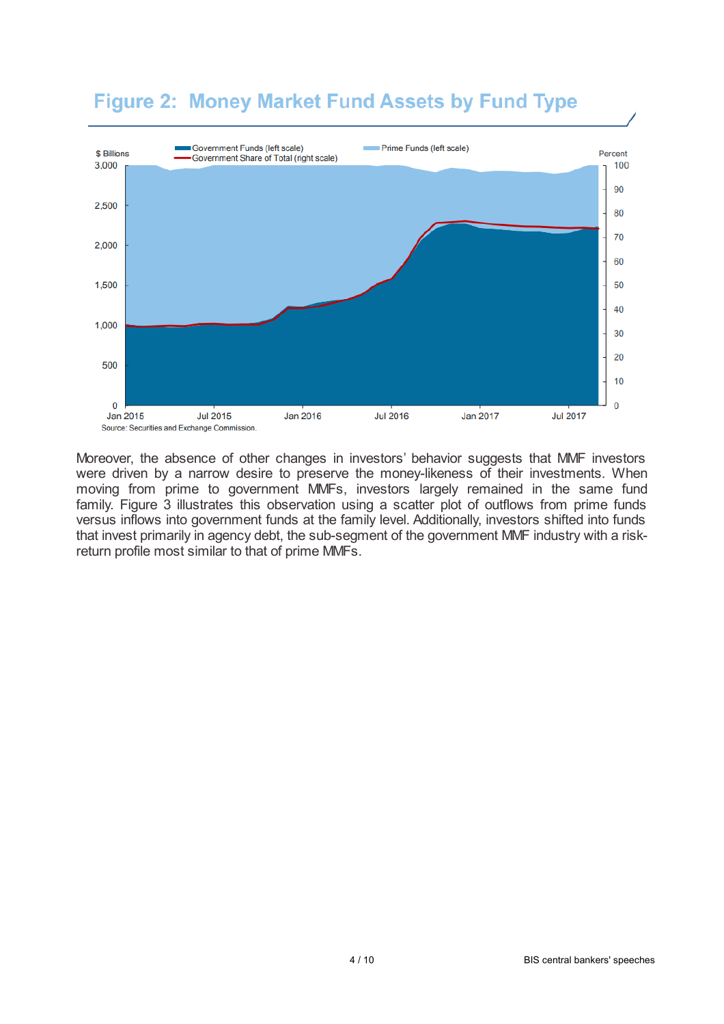## **Figure 2: Money Market Fund Assets by Fund Type**



Moreover, the absence of other changes in investors' behavior suggests that MMF investors were driven by a narrow desire to preserve the money-likeness of their investments. When moving from prime to government MMFs, investors largely remained in the same fund family. Figure 3 illustrates this observation using a scatter plot of outflows from prime funds versus inflows into government funds at the family level. Additionally, investors shifted into funds that invest primarily in agency debt, the sub-segment of the government MMF industry with a riskreturn profile most similar to that of prime MMFs.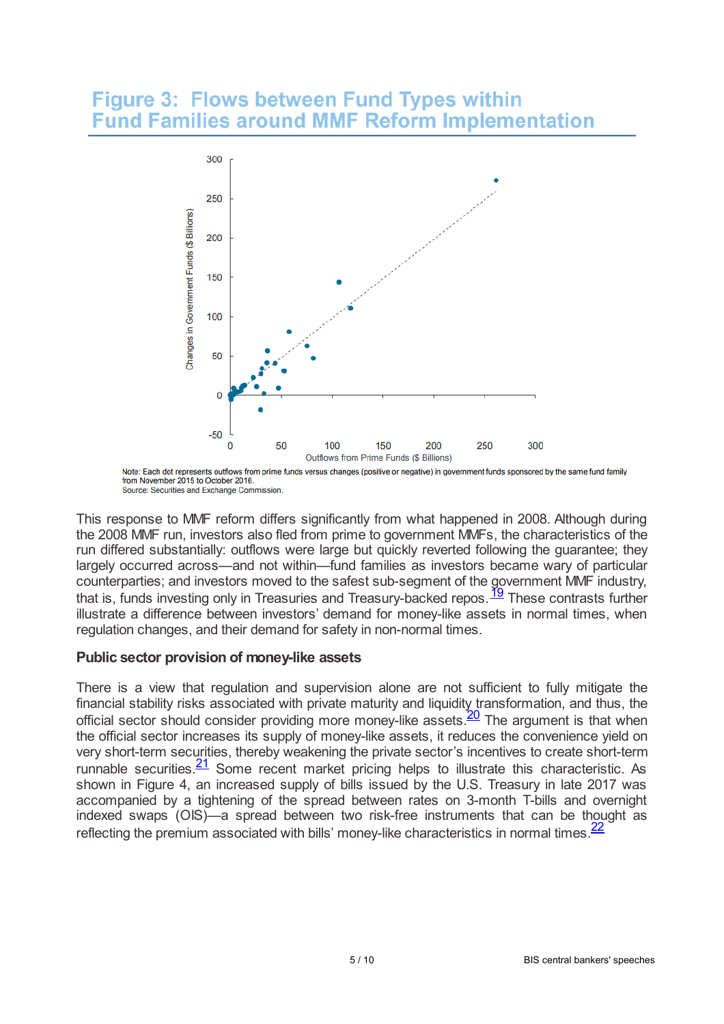### **Figure 3: Flows between Fund Types within Fund Families around MMF Reform Implementation**



<span id="page-4-0"></span>Note: Each dot represents outflows from prime funds versus changes (positive or negative) in government funds sponsored by the same fund family from November 2015 to October 2016 Source: Securities and Exchange Commission.

This response to MMF reform differs significantly from what happened in 2008. Although during the 2008 MMF run, investors also fled from prime to government MMFs, the characteristics of the run differed substantially: outflows were large but quickly reverted following the guarantee; they largely occurred across—and not within—fund families as investors became wary of particular counterparties; and investors moved to the safest sub-segment of the government MMF industry, that is, funds investing only in Treasuries and Treasury-backed repos.<sup>[19](#page-8-4)</sup> These contrasts further illustrate a difference between investors' demand for money-like assets in normal times, when regulation changes, and their demand for safety in non-normal times.

### **Public sector provision of money-like assets**

<span id="page-4-3"></span><span id="page-4-2"></span><span id="page-4-1"></span>There is a view that regulation and supervision alone are not sufficient to fully mitigate the financial stability risks associated with private maturity and liquidity transformation, and thus, the official sector should consider providing more money-like assets.<sup>[20](#page-8-5)</sup> The argument is that when the official sector increases its supply of money-like assets, it reduces the convenience yield on very short-term securities, thereby weakening the private sector's incentives to create short-term runnable securities. $\frac{21}{5}$  $\frac{21}{5}$  $\frac{21}{5}$  Some recent market pricing helps to illustrate this characteristic. As shown in Figure 4, an increased supply of bills issued by the U.S. Treasury in late 2017 was accompanied by a tightening of the spread between rates on 3-month T-bills and overnight indexed swaps (OIS)—a spread between two risk-free instruments that can be thought as reflecting the premium associated with bills' money-like characteristics in normal times  $\frac{22}{5}$  $\frac{22}{5}$  $\frac{22}{5}$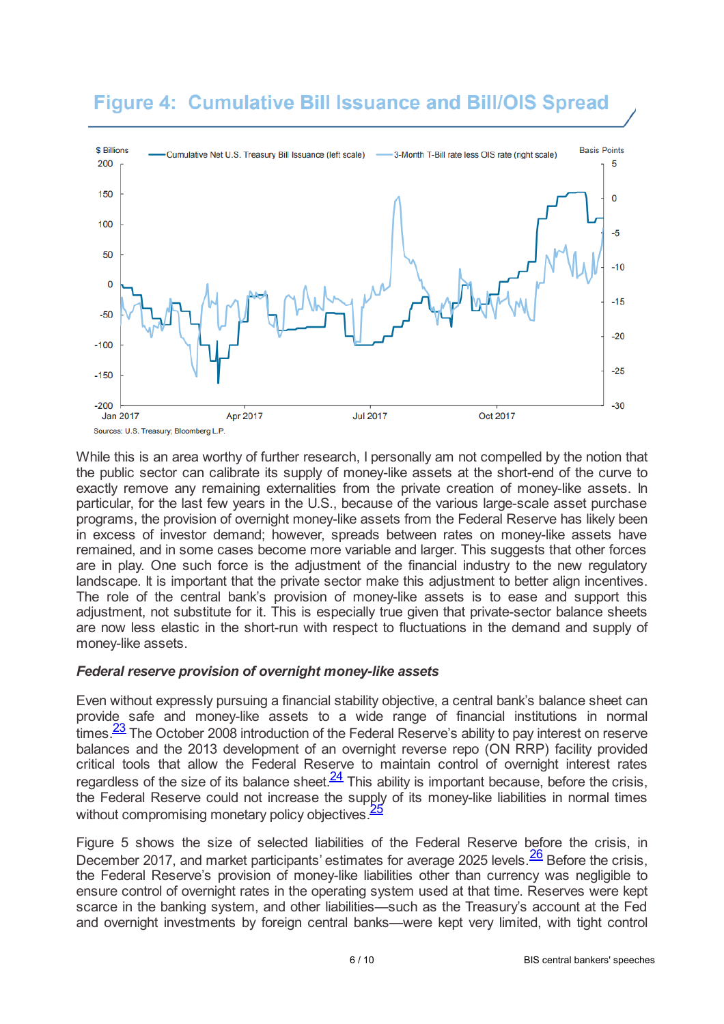## **Figure 4: Cumulative Bill Issuance and Bill/OIS Spread**



While this is an area worthy of further research, I personally am not compelled by the notion that the public sector can calibrate its supply of money-like assets at the short-end of the curve to exactly remove any remaining externalities from the private creation of money-like assets. In particular, for the last few years in the U.S., because of the various large-scale asset purchase programs, the provision of overnight money-like assets from the Federal Reserve has likely been in excess of investor demand; however, spreads between rates on money-like assets have remained, and in some cases become more variable and larger. This suggests that other forces are in play. One such force is the adjustment of the financial industry to the new regulatory landscape. It is important that the private sector make this adjustment to better align incentives. The role of the central bank's provision of money-like assets is to ease and support this adjustment, not substitute for it. This is especially true given that private-sector balance sheets are now less elastic in the short-run with respect to fluctuations in the demand and supply of money-like assets.

#### *Federal reserve provision of overnight money-like assets*

<span id="page-5-0"></span>Even without expressly pursuing a financial stability objective, a central bank's balance sheet can provide safe and money-like assets to a wide range of financial institutions in normal times. $\frac{23}{7}$  $\frac{23}{7}$  $\frac{23}{7}$  The October 2008 introduction of the Federal Reserve's ability to pay interest on reserve balances and the 2013 development of an overnight reverse repo (ON RRP) facility provided critical tools that allow the Federal Reserve to maintain control of overnight interest rates regardless of the size of its balance sheet. $\frac{24}{1}$  $\frac{24}{1}$  $\frac{24}{1}$  This ability is important because, before the crisis, the Federal Reserve could not increase the supply of its money-like liabilities in normal times without compromising monetary policy objectives.<sup>[25](#page-8-10)</sup>

<span id="page-5-3"></span><span id="page-5-2"></span><span id="page-5-1"></span>Figure 5 shows the size of selected liabilities of the Federal Reserve before the crisis, in December 2017, and market participants' estimates for average 2025 levels.  $\frac{26}{5}$  $\frac{26}{5}$  $\frac{26}{5}$  Before the crisis, the Federal Reserve's provision of money-like liabilities other than currency was negligible to ensure control of overnight rates in the operating system used at that time. Reserves were kept scarce in the banking system, and other liabilities—such as the Treasury's account at the Fed and overnight investments by foreign central banks—were kept very limited, with tight control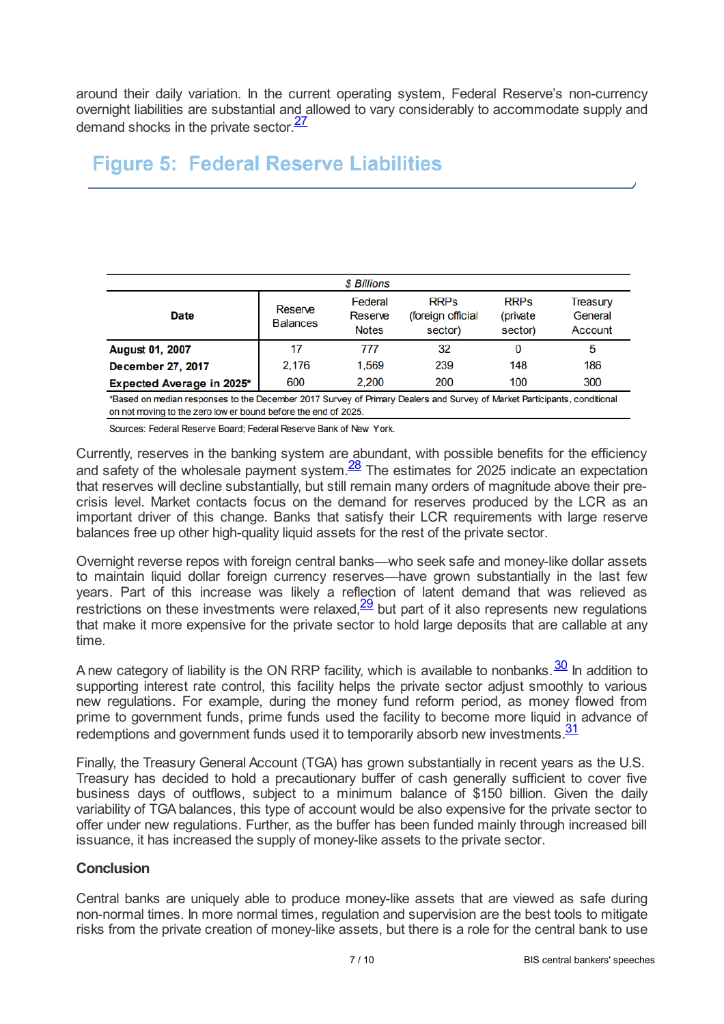around their daily variation. In the current operating system, Federal Reserve's non-currency overnight liabilities are substantial and allowed to vary considerably to accommodate supply and demand shocks in the private sector.<sup>[27](#page-9-0)</sup>

### <span id="page-6-0"></span>**Figure 5: Federal Reserve Liabilities**

| \$ Billions                                                                                                              |                            |                                    |                                             |                                     |                                |
|--------------------------------------------------------------------------------------------------------------------------|----------------------------|------------------------------------|---------------------------------------------|-------------------------------------|--------------------------------|
| <b>Date</b>                                                                                                              | Reserve<br><b>Balances</b> | Federal<br>Reserve<br><b>Notes</b> | <b>RRPs</b><br>(foreign official<br>sector) | <b>RRPs</b><br>(private)<br>sector) | Treasury<br>General<br>Account |
| <b>August 01, 2007</b>                                                                                                   | 17                         | 777                                | 32                                          | 0                                   | 5                              |
| <b>December 27, 2017</b>                                                                                                 | 2.176                      | 1,569                              | 239                                         | 148                                 | 186                            |
| Expected Average in 2025*                                                                                                | 600                        | 2.200                              | 200                                         | 100                                 | 300                            |
| *Based on median responses to the December 2017 Survey of Primary Dealers and Survey of Market Participants, conditional |                            |                                    |                                             |                                     |                                |

on not moving to the zero low er bound before the end of 2025.

<span id="page-6-1"></span>Sources: Federal Reserve Board; Federal Reserve Bank of New York.

Currently, reserves in the banking system are abundant, with possible benefits for the efficiency and safety of the wholesale payment system. $\frac{28}{2}$  $\frac{28}{2}$  $\frac{28}{2}$  The estimates for 2025 indicate an expectation that reserves will decline substantially, but still remain many orders of magnitude above their precrisis level. Market contacts focus on the demand for reserves produced by the LCR as an important driver of this change. Banks that satisfy their LCR requirements with large reserve balances free up other high-quality liquid assets for the rest of the private sector.

<span id="page-6-2"></span>Overnight reverse repos with foreign central banks—who seek safe and money-like dollar assets to maintain liquid dollar foreign currency reserves—have grown substantially in the last few years. Part of this increase was likely a reflection of latent demand that was relieved as restrictions on these investments were relaxed, $\frac{29}{2}$  $\frac{29}{2}$  $\frac{29}{2}$  but part of it also represents new regulations that make it more expensive for the private sector to hold large deposits that are callable at any time.

<span id="page-6-3"></span>A new category of liability is the ON RRP facility, which is available to nonbanks. $\frac{30}{5}$  $\frac{30}{5}$  $\frac{30}{5}$  In addition to supporting interest rate control, this facility helps the private sector adjust smoothly to various new regulations. For example, during the money fund reform period, as money flowed from prime to government funds, prime funds used the facility to become more liquid in advance of redemptions and government funds used it to temporarily absorb new investments.<sup>[31](#page-9-4)</sup>

<span id="page-6-4"></span>Finally, the Treasury General Account (TGA) has grown substantially in recent years as the U.S. Treasury has decided to hold a precautionary buffer of cash generally sufficient to cover five business days of outflows, subject to a minimum balance of \$150 billion. Given the daily variability of TGAbalances, this type of account would be also expensive for the private sector to offer under new regulations. Further, as the buffer has been funded mainly through increased bill issuance, it has increased the supply of money-like assets to the private sector.

### **Conclusion**

Central banks are uniquely able to produce money-like assets that are viewed as safe during non-normal times. In more normal times, regulation and supervision are the best tools to mitigate risks from the private creation of money-like assets, but there is a role for the central bank to use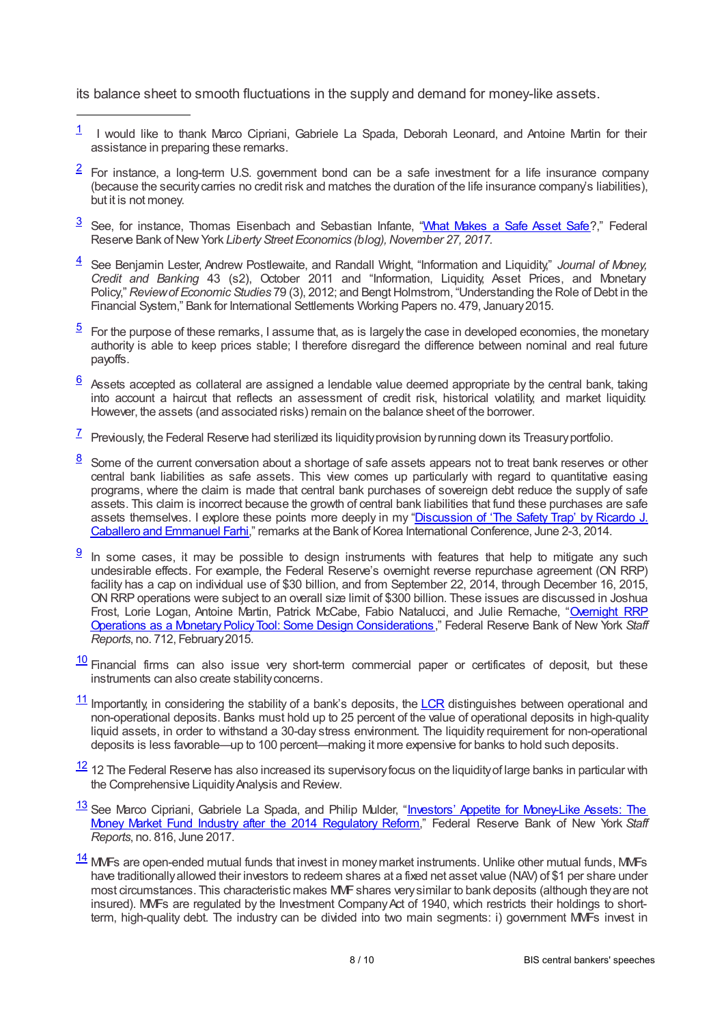its balance sheet to smooth fluctuations in the supply and demand for money-like assets.

- <span id="page-7-0"></span>I would like to thank Marco Cipriani, Gabriele La Spada, Deborah Leonard, and Antoine Martin for their assistance in preparing these remarks. [1](#page-0-0)
- <span id="page-7-1"></span>For instance, a long-term U.S. government bond can be a safe investment for a life insurance company (because the securitycarries no credit risk and matches the duration of the life insurance company's liabilities), but it is not money. [2](#page-0-1)
- <span id="page-7-2"></span>3 See, for instance, Thomas Eisenbach and Sebastian Infante, "What [Makes](libertystreeteconomics.newyorkfed.org/2017/11/what-makes-a-safe-asset-safe.html) a Safe Asset Safe?," Federal Reserve Bank of New York Liberty Street Economics (blog), November 27, 2017.
- <span id="page-7-3"></span>See Benjamin Lester, Andrew Postlewaite, and Randall Wright, "Information and Liquidity," *Journal of Money,* [4](#page-0-3) *Credit and Banking* 43 (s2), October 2011 and "Information, Liquidity, Asset Prices, and Monetary Policy," *Review of Economic Studies* 79 (3), 2012; and Bengt Holmstrom, "Understanding the Role of Debt in the Financial System," Bank for International Settlements Working Papers no. 479, January2015.
- <span id="page-7-4"></span>For the purpose of these remarks, I assume that, as is largely the case in developed economies, the monetary authority is able to keep prices stable; I therefore disregard the difference between nominal and real future payoffs. [5](#page-0-4)
- <span id="page-7-5"></span>Assets accepted as collateral are assigned a lendable value deemed appropriate by the central bank, taking into account a haircut that reflects an assessment of credit risk, historical volatility, and market liquidity. However, the assets (and associated risks) remain on the balance sheet of the borrower. [6](#page-0-5)
- <span id="page-7-6"></span> $\frac{7}{1}$  $\frac{7}{1}$  $\frac{7}{1}$  Previously, the Federal Reserve had sterilized its liquidity provision by running down its Treasury portfolio.
- <span id="page-7-7"></span>Some of the current conversation about a shortage of safe assets appears not to treat bank reserves or other central bank liabilities as safe assets. This view comes up particularly with regard to quantitative easing programs, where the claim is made that central bank purchases of sovereign debt reduce the supply of safe assets. This claim is incorrect because the growth of central bank liabilities that fund these purchases are safe assets [themselves.](www.newyorkfed.org/medialibrary/media/research/economists/potter/safefy_trap.pdf) I explore these points more deeply in my "Discussion of 'The Safety Trap' by Ricardo J. Caballero and Emmanuel Farhi," remarks at the Bank of Korea International Conference, June 2-3, 2014. [8](#page-1-1)
- <span id="page-7-8"></span>In some cases, it may be possible to design instruments with features that help to mitigate any such undesirable effects. For example, the Federal Reserve's overnight reverse repurchase agreement (ON RRP) facility has a cap on individual use of \$30 billion, and from September 22, 2014, through December 16, 2015, ON RRP operations were subject to an overall size limit of \$300 billion. These issues are discussed in Joshua Frost, Lorie Logan, Antoine Martin, Patrick McCabe, Fabio Natalucci, and Julie Remache, "Overnight RRP **Operations as a Monetary Policy Tool: Some Design Considerations**," Federal Reserve Bank of New York Staff *Reports*, no. 712, February2015.  $9$
- <span id="page-7-9"></span> $\frac{10}{10}$  $\frac{10}{10}$  $\frac{10}{10}$  Financial firms can also issue very short-term commercial paper or certificates of deposit, but these instruments can also create stability concerns.
- <span id="page-7-10"></span> $11$  Importantly, in considering the stability of a bank's deposits, the [LCR](www.bis.org/publ/bcbs238.pdf) distinguishes between operational and non-operational deposits. Banks must hold up to 25 percent of the value of operational deposits in high-quality liquid assets, in order to withstand a 30-day stress environment. The liquidity requirement for non-operational deposits is less favorable—up to 100 percent—making it more expensive for banks to hold such deposits.
- <span id="page-7-11"></span> $12$  12 The Federal Reserve has also increased its supervisory focus on the liquidity of large banks in particular with the Comprehensive Liquidity Analysis and Review.
- <span id="page-7-12"></span>13 See Marco Cipriani, Gabriele La Spada, and Philip Mulder, "<u>Investors' Appetite for [Money-Like](www.newyorkfed.org/research/staff_reports/sr816.html) Assets: The</u> Money Market Fund Industry after the 2014 Regulatory Reform," Federal Reserve Bank of New York *Staff Reports*, no. 816, June 2017.
- <span id="page-7-13"></span> $14$  MVFs are open-ended mutual funds that invest in money market instruments. Unlike other mutual funds, MVFs have traditionallyallowed their investors to redeem shares at a fixed net asset value (NAV) of \$1 per share under most circumstances. This characteristic makes MMFshares verysimilar to bank deposits (although theyare not insured). MMFs are regulated by the Investment Company Act of 1940, which restricts their holdings to shortterm, high-quality debt. The industry can be divided into two main segments: i) government MMFs invest in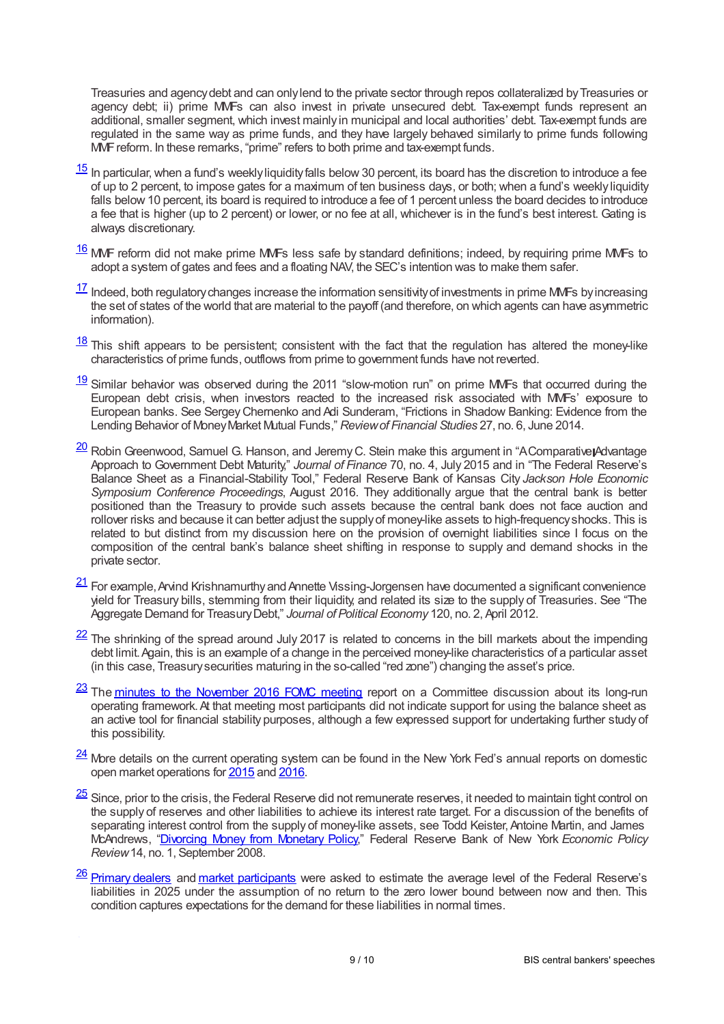Treasuries and agencydebt and can onlylend to the private sector through repos collateralized byTreasuries or agency debt; ii) prime MMFs can also invest in private unsecured debt. Tax-exempt funds represent an additional, smaller segment, which invest mainly in municipal and local authorities' debt. Tax-exempt funds are regulated in the same way as prime funds, and they have largely behaved similarly to prime funds following MMFreform. In these remarks, "prime" refers to both prime and tax-exempt funds.

- <span id="page-8-0"></span> $\frac{15}{2}$  $\frac{15}{2}$  $\frac{15}{2}$  In particular, when a fund's weekly liquidity falls below 30 percent, its board has the discretion to introduce a fee of up to 2 percent, to impose gates for a maximum of ten business days, or both; when a fund's weekly liquidity falls below 10 percent, its board is required to introduce a fee of 1 percent unless the board decides to introduce a fee that is higher (up to 2 percent) or lower, or no fee at all, whichever is in the fund's best interest. Gating is always discretionary.
- <span id="page-8-1"></span> $\frac{16}{16}$  $\frac{16}{16}$  $\frac{16}{16}$  MMF reform did not make prime MMFs less safe by standard definitions; indeed, by requiring prime MMFs to adopt a system of gates and fees and a floating NAV, the SEC's intention was to make them safer.
- <span id="page-8-2"></span> $\frac{17}{17}$  $\frac{17}{17}$  $\frac{17}{17}$  Indeed, both regulatory changes increase the information sensitivity of investments in prime MMFs by increasing the set of states of the world that are material to the payoff (and therefore, on which agents can have asymmetric information).
- <span id="page-8-3"></span> $\frac{18}{18}$  $\frac{18}{18}$  $\frac{18}{18}$  This shift appears to be persistent; consistent with the fact that the regulation has altered the money-like characteristics of prime funds, outflows from prime to government funds have not reverted.
- <span id="page-8-4"></span>[19](#page-4-0) Similar behavior was observed during the 2011 "slow-motion run" on prime MVFs that occurred during the European debt crisis, when investors reacted to the increased risk associated with MMFs' exposure to European banks. See SergeyChernenko and Adi Sunderam, "Frictions in Shadow Banking: Evidence from the Lending Behavior of MoneyMarket Mutual Funds," *Reviewof Financial Studies* 27, no. 6, June 2014.
- <span id="page-8-5"></span>[20](#page-4-1) Robin Greenwood, Samuel G. Hanson, and Jeremy C. Stein make this argument in "AComparative Advantage Approach to Government Debt Maturity," *Journal of Finance* 70, no. 4, July 2015 and in "The Federal Reserve's Balance Sheet as a Financial-Stability Tool," Federal Reserve Bank of Kansas City *Jackson Hole Economic Symposium Conference Proceedings*, August 2016. They additionally argue that the central bank is better positioned than the Treasury to provide such assets because the central bank does not face auction and rollover risks and because it can better adjust the supplyof money-like assets to high-frequencyshocks. This is related to but distinct from my discussion here on the provision of overnight liabilities since I focus on the composition of the central bank's balance sheet shifting in response to supply and demand shocks in the private sector.
- <span id="page-8-6"></span> $\frac{21}{2}$  $\frac{21}{2}$  $\frac{21}{2}$  For example, Arvind Krishnamurthy and Annette Vissing-Jorgensen have documented a significant convenience yield for Treasury bills, stemming from their liquidity, and related its size to the supply of Treasuries. See "The Aggregate Demand for TreasuryDebt," *Journal of Political Economy* 120, no. 2, April 2012.
- <span id="page-8-7"></span> $\frac{22}{2}$  $\frac{22}{2}$  $\frac{22}{2}$  The shrinking of the spread around July 2017 is related to concerns in the bill markets about the impending debt limit. Again, this is an example of a change in the perceived money-like characteristics of a particular asset (in this case, Treasurysecurities maturing in the so-called "red zone") changing the asset's price.
- <span id="page-8-8"></span>23 The minutes to the [November](www.federalreserve.gov/monetarypolicy/files/fomcminutes20161102.pdf) 2016 FOMC meeting report on a Committee discussion about its long-run operating framework.At that meeting most participants did not indicate support for using the balance sheet as an active tool for financial stability purposes, although a few expressed support for undertaking further study of this possibility.
- <span id="page-8-9"></span> $\frac{24}{2}$  $\frac{24}{2}$  $\frac{24}{2}$  More details on the current operating system can be found in the New York Fed's annual reports on domestic open market operations for [2015](www.newyorkfed.org/medialibrary/media/markets/omo/omo2015-pdf.pdf) and [2016](www.newyorkfed.org/medialibrary/media/markets/omo/omo2016-pdf.pdf).
- <span id="page-8-10"></span> $\frac{25}{5}$  $\frac{25}{5}$  $\frac{25}{5}$  Since, prior to the crisis, the Federal Reserve did not remunerate reserves, it needed to maintain tight control on the supply of reserves and other liabilities to achieve its interest rate target. For a discussion of the benefits of separating interest control from the supply of money-like assets, see Todd Keister, Antoine Martin, and James McAndrews, ["Divorcing](www.newyorkfed.org/medialibrary/media/research/epr/08v14n2/0809keis.pdf) Money from Monetary Policy," Federal Reserve Bank of New York *Economic Policy Review*14, no. 1, September 2008.
- <span id="page-8-11"></span>26 [Primary](www.newyorkfed.org/medialibrary/media/markets/survey/2017/dec-2017-spd-results.pdf) dealers and market [participants](www.newyorkfed.org/medialibrary/media/markets/survey/2017/dec-2017-smp-results.pdf) were asked to estimate the average level of the Federal Reserve's liabilities in 2025 under the assumption of no return to the zero lower bound between now and then. This condition captures expectations for the demand for these liabilities in normal times.